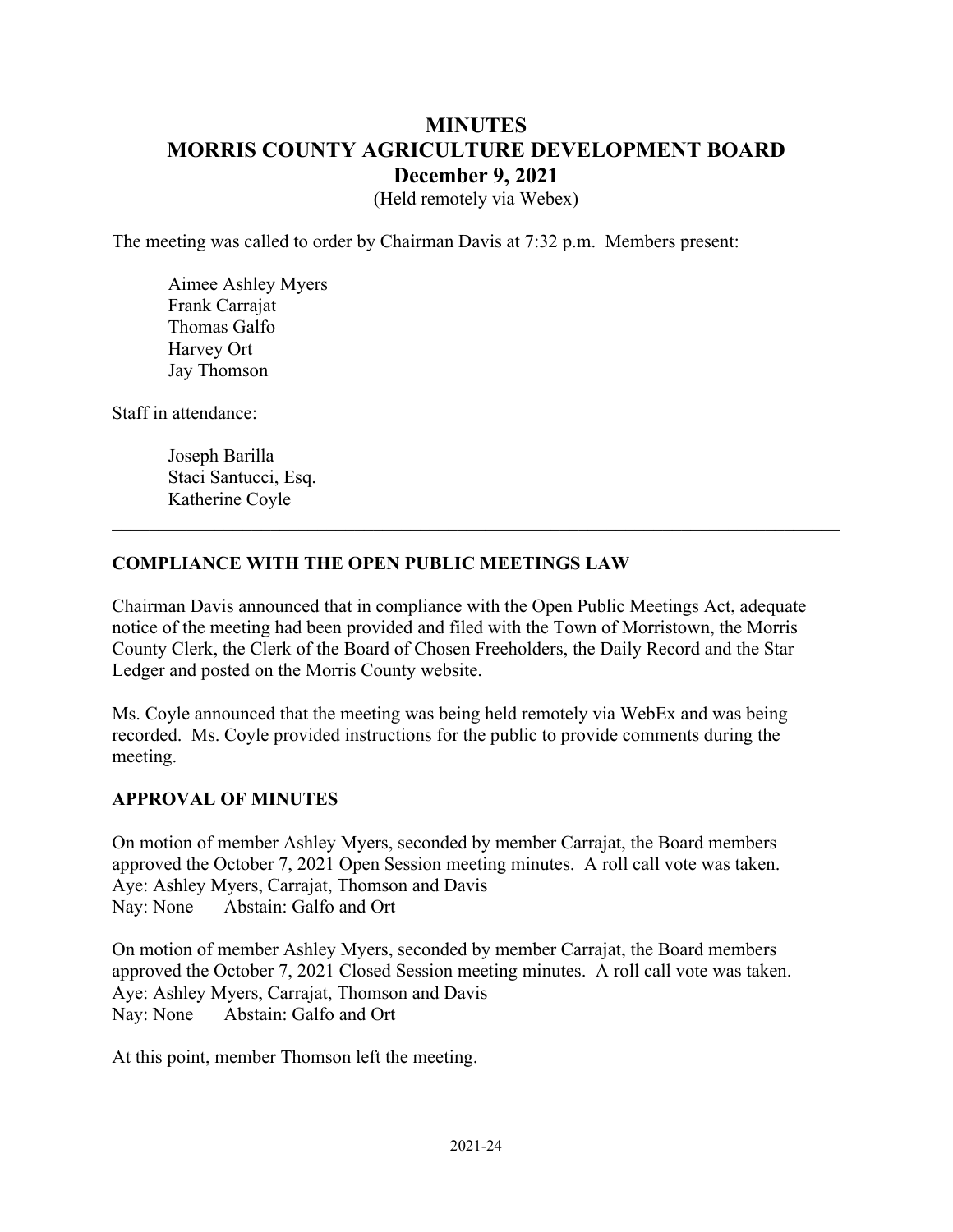# **MINUTES MORRIS COUNTY AGRICULTURE DEVELOPMENT BOARD December 9, 2021**

(Held remotely via Webex)

The meeting was called to order by Chairman Davis at 7:32 p.m. Members present:

Aimee Ashley Myers Frank Carrajat Thomas Galfo Harvey Ort Jay Thomson

Staff in attendance:

Joseph Barilla Staci Santucci, Esq. Katherine Coyle

#### **COMPLIANCE WITH THE OPEN PUBLIC MEETINGS LAW**

Chairman Davis announced that in compliance with the Open Public Meetings Act, adequate notice of the meeting had been provided and filed with the Town of Morristown, the Morris County Clerk, the Clerk of the Board of Chosen Freeholders, the Daily Record and the Star Ledger and posted on the Morris County website.

Ms. Coyle announced that the meeting was being held remotely via WebEx and was being recorded. Ms. Coyle provided instructions for the public to provide comments during the meeting.

#### **APPROVAL OF MINUTES**

On motion of member Ashley Myers, seconded by member Carrajat, the Board members approved the October 7, 2021 Open Session meeting minutes. A roll call vote was taken. Aye: Ashley Myers, Carrajat, Thomson and Davis Nay: None Abstain: Galfo and Ort

On motion of member Ashley Myers, seconded by member Carrajat, the Board members approved the October 7, 2021 Closed Session meeting minutes. A roll call vote was taken. Aye: Ashley Myers, Carrajat, Thomson and Davis Nay: None Abstain: Galfo and Ort

At this point, member Thomson left the meeting.<br>
2021-24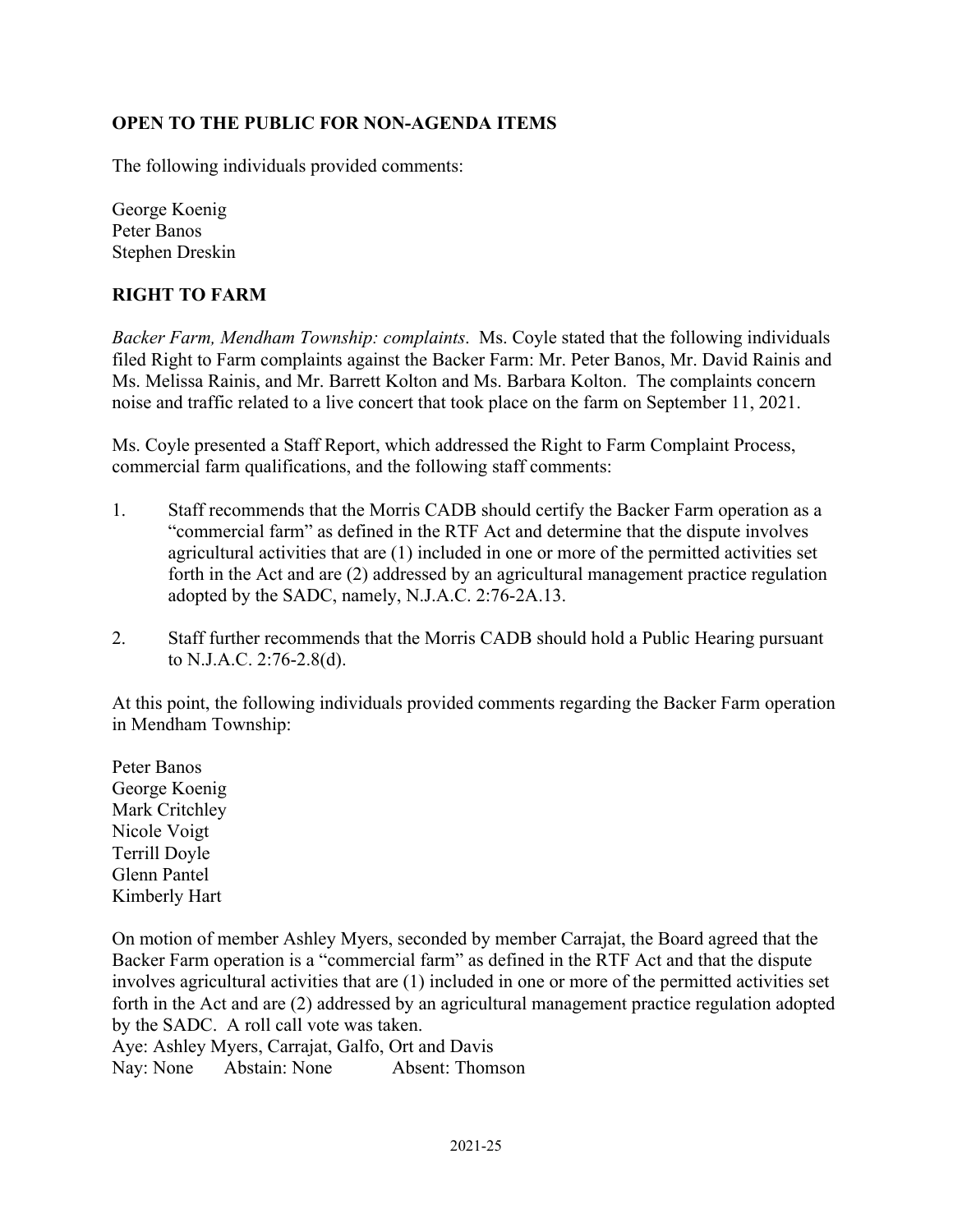# **OPEN TO THE PUBLIC FOR NON-AGENDA ITEMS**

The following individuals provided comments:

George Koenig Peter Banos Stephen Dreskin

# **RIGHT TO FARM**

*Backer Farm, Mendham Township: complaints*. Ms. Coyle stated that the following individuals filed Right to Farm complaints against the Backer Farm: Mr. Peter Banos, Mr. David Rainis and Ms. Melissa Rainis, and Mr. Barrett Kolton and Ms. Barbara Kolton. The complaints concern noise and traffic related to a live concert that took place on the farm on September 11, 2021.

Ms. Coyle presented a Staff Report, which addressed the Right to Farm Complaint Process, commercial farm qualifications, and the following staff comments:

- 1. Staff recommends that the Morris CADB should certify the Backer Farm operation as a "commercial farm" as defined in the RTF Act and determine that the dispute involves agricultural activities that are (1) included in one or more of the permitted activities set forth in the Act and are (2) addressed by an agricultural management practice regulation adopted by the SADC, namely, N.J.A.C. [2:76-2A.13.](https://2:76-2A.13)
- 2. Staff further recommends that the Morris CADB should hold a Public Hearing pursuant to N.J.A.C. 2:76-2.8(d).

At this point, the following individuals provided comments regarding the Backer Farm operation in Mendham Township:

Peter Banos George Koenig Mark Critchley Nicole Voigt Terrill Doyle Glenn Pantel Kimberly Hart

On motion of member Ashley Myers, seconded by member Carrajat, the Board agreed that the Backer Farm operation is a "commercial farm" as defined in the RTF Act and that the dispute involves agricultural activities that are (1) included in one or more of the permitted activities set forth in the Act and are (2) addressed by an agricultural management practice regulation adopted by the SADC. A roll call vote was taken. Aye: Ashley Myers, Carrajat, Galfo, Ort and Davis

Nay: None Abstain: None Absent: Thomson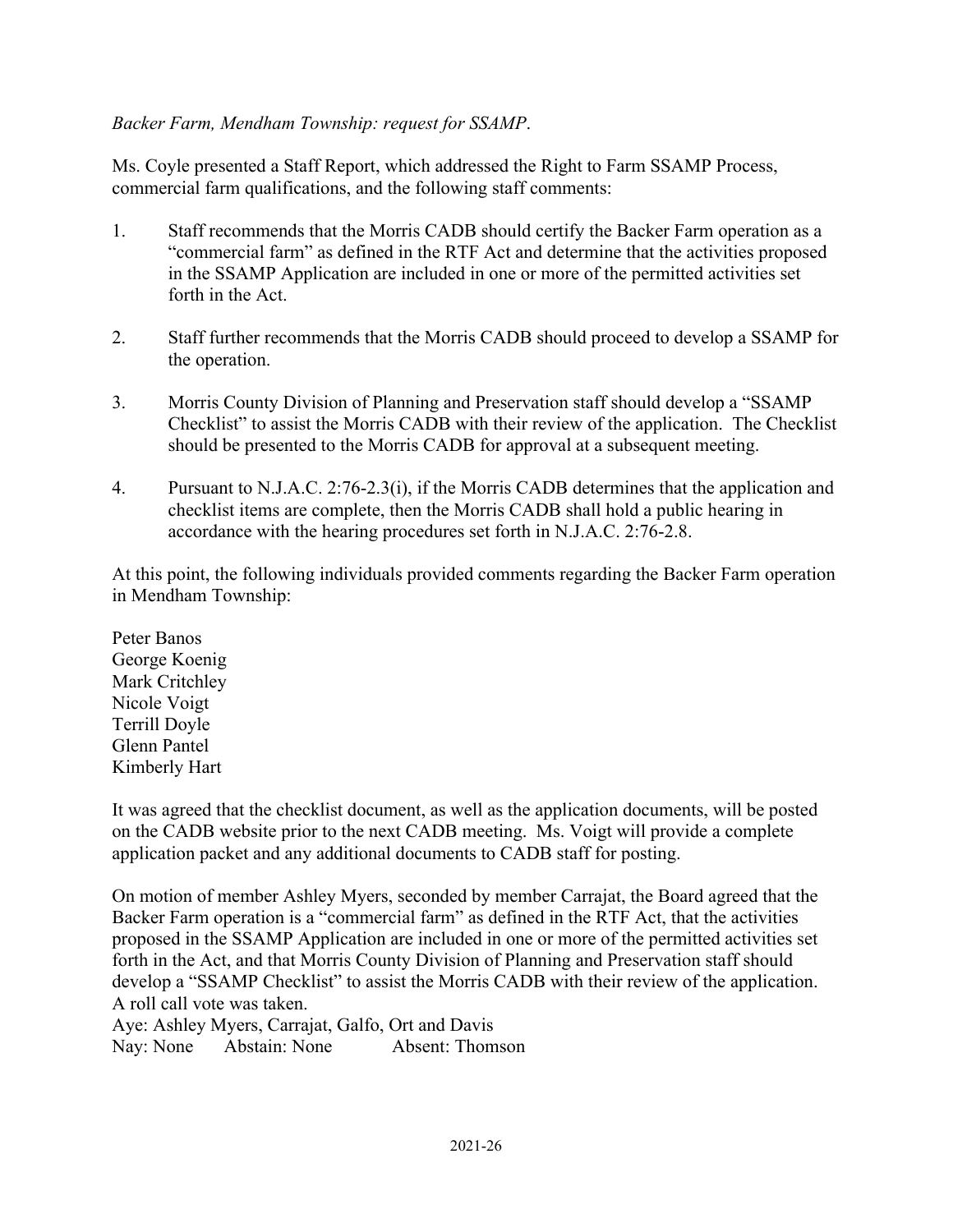# *Backer Farm, Mendham Township: request for SSAMP*.

Ms. Coyle presented a Staff Report, which addressed the Right to Farm SSAMP Process, commercial farm qualifications, and the following staff comments:

- 1. Staff recommends that the Morris CADB should certify the Backer Farm operation as a "commercial farm" as defined in the RTF Act and determine that the activities proposed in the SSAMP Application are included in one or more of the permitted activities set forth in the Act.
- 2. Staff further recommends that the Morris CADB should proceed to develop a SSAMP for the operation.
- 3. Morris County Division of Planning and Preservation staff should develop a "SSAMP Checklist" to assist the Morris CADB with their review of the application. The Checklist should be presented to the Morris CADB for approval at a subsequent meeting.
- 4. Pursuant to N.J.A.C. 2:76-2.3(i), if the Morris CADB determines that the application and checklist items are complete, then the Morris CADB shall hold a public hearing in accordance with the hearing procedures set forth in N.J.A.C. 2:76-2.8.

At this point, the following individuals provided comments regarding the Backer Farm operation in Mendham Township:

Peter Banos George Koenig Mark Critchley Nicole Voigt Terrill Doyle Glenn Pantel Kimberly Hart

It was agreed that the checklist document, as well as the application documents, will be posted on the CADB website prior to the next CADB meeting. Ms. Voigt will provide a complete application packet and any additional documents to CADB staff for posting.

On motion of member Ashley Myers, seconded by member Carrajat, the Board agreed that the Backer Farm operation is a "commercial farm" as defined in the RTF Act, that the activities proposed in the SSAMP Application are included in one or more of the permitted activities set forth in the Act, and that Morris County Division of Planning and Preservation staff should develop a "SSAMP Checklist" to assist the Morris CADB with their review of the application. A roll call vote was taken.

Aye: Ashley Myers, Carrajat, Galfo, Ort and Davis Nay: None Abstain: None Absent: Thomson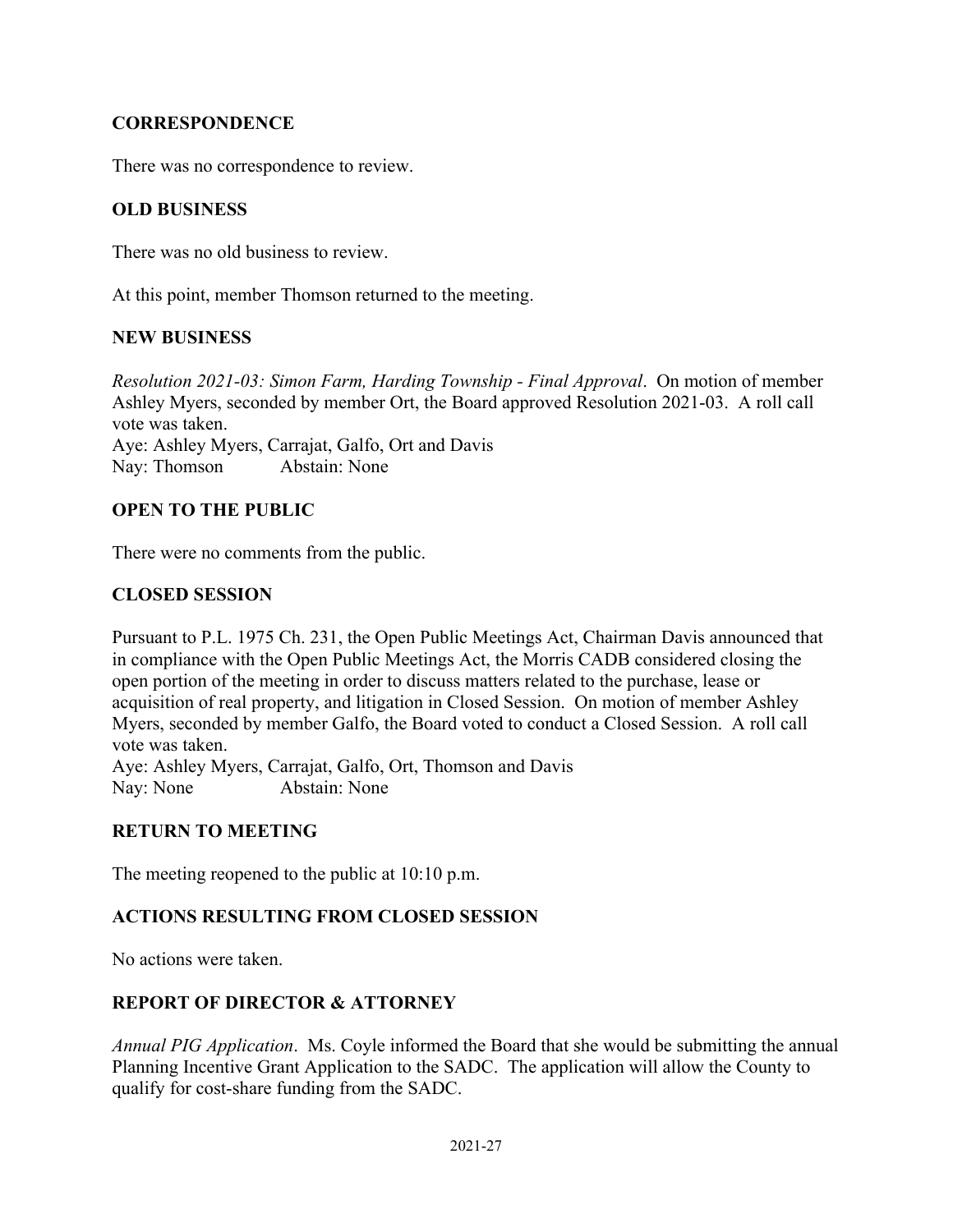# **CORRESPONDENCE**

There was no correspondence to review.

# **OLD BUSINESS**

There was no old business to review.

At this point, member Thomson returned to the meeting.

#### **NEW BUSINESS**

Abstain: None *Resolution 2021-03: Simon Farm, Harding Township - Final Approval*. On motion of member Ashley Myers, seconded by member Ort, the Board approved Resolution 2021-03. A roll call vote was taken. Aye: Ashley Myers, Carrajat, Galfo, Ort and Davis Nay: Thomson

# **OPEN TO THE PUBLIC**

There were no comments from the public.

# **CLOSED SESSION**

Pursuant to P.L. 1975 Ch. 231, the Open Public Meetings Act, Chairman Davis announced that in compliance with the Open Public Meetings Act, the Morris CADB considered closing the open portion of the meeting in order to discuss matters related to the purchase, lease or acquisition of real property, and litigation in Closed Session. On motion of member Ashley Myers, seconded by member Galfo, the Board voted to conduct a Closed Session. A roll call vote was taken.

Aye: Ashley Myers, Carrajat, Galfo, Ort, Thomson and Davis Nay: None Abstain: None

# **RETURN TO MEETING**

The meeting reopened to the public at 10:10 p.m.

# **ACTIONS RESULTING FROM CLOSED SESSION**

No actions were taken.

# **REPORT OF DIRECTOR & ATTORNEY**

*Annual PIG Application*. Ms. Coyle informed the Board that she would be submitting the annual Planning Incentive Grant Application to the SADC. The application will allow the County to qualify for cost-share funding from the SADC.